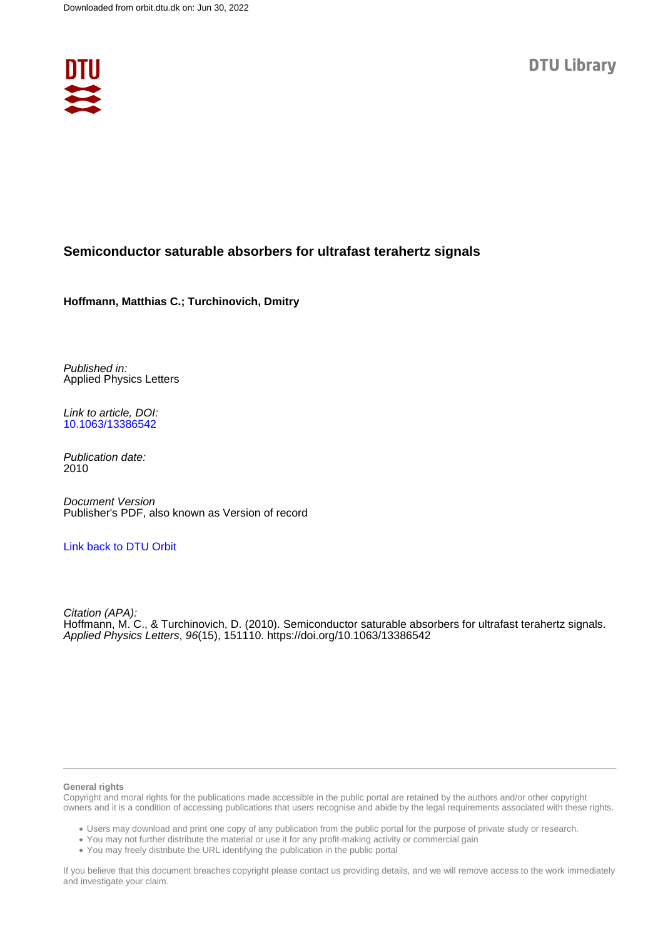

## **Semiconductor saturable absorbers for ultrafast terahertz signals**

**Hoffmann, Matthias C.; Turchinovich, Dmitry**

Published in: Applied Physics Letters

Link to article, DOI: [10.1063/13386542](https://doi.org/10.1063/13386542)

Publication date: 2010

Document Version Publisher's PDF, also known as Version of record

## [Link back to DTU Orbit](https://orbit.dtu.dk/en/publications/2cc0ad95-a553-4362-b501-f95db93ff43d)

Citation (APA): Hoffmann, M. C., & Turchinovich, D. (2010). Semiconductor saturable absorbers for ultrafast terahertz signals. Applied Physics Letters, 96(15), 151110. <https://doi.org/10.1063/13386542>

### **General rights**

Copyright and moral rights for the publications made accessible in the public portal are retained by the authors and/or other copyright owners and it is a condition of accessing publications that users recognise and abide by the legal requirements associated with these rights.

Users may download and print one copy of any publication from the public portal for the purpose of private study or research.

- You may not further distribute the material or use it for any profit-making activity or commercial gain
- You may freely distribute the URL identifying the publication in the public portal

If you believe that this document breaches copyright please contact us providing details, and we will remove access to the work immediately and investigate your claim.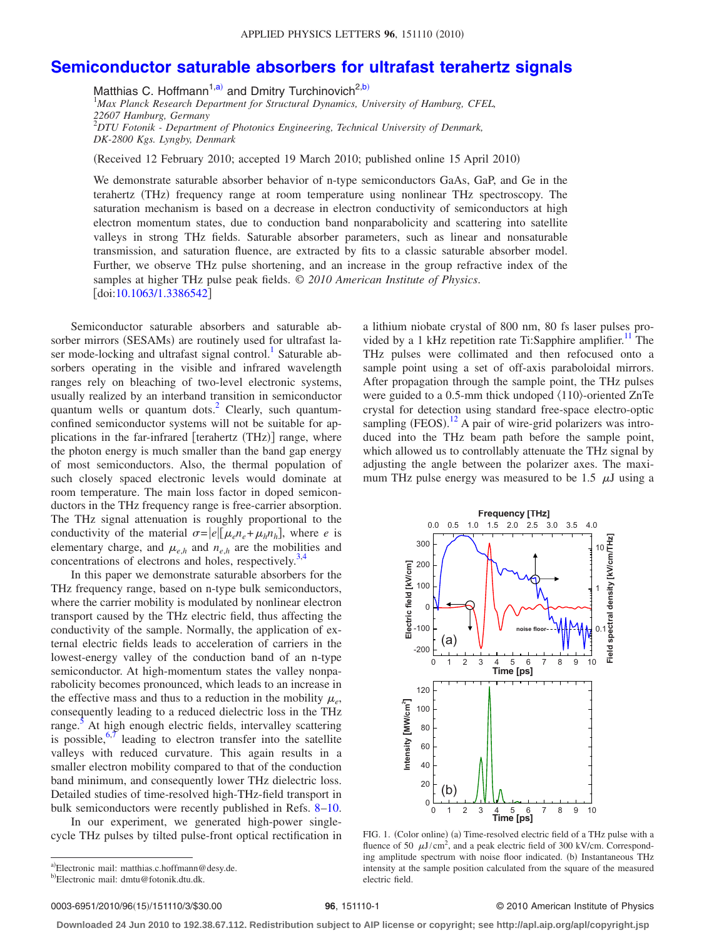# **[Semiconductor saturable absorbers for ultrafast terahertz signals](http://dx.doi.org/10.1063/1.3386542)**

Matthias C. Hoffmann<sup>1[,a](#page-1-0))</sup> and Dmitry Turchinovich<sup>2[,b](#page-1-1))</sup> 1 *Max Planck Research Department for Structural Dynamics, University of Hamburg, CFEL, 22607 Hamburg, Germany* 2 *DTU Fotonik - Department of Photonics Engineering, Technical University of Denmark, DK-2800 Kgs. Lyngby, Denmark*

(Received 12 February 2010; accepted 19 March 2010; published online 15 April 2010)

We demonstrate saturable absorber behavior of n-type semiconductors GaAs, GaP, and Ge in the terahertz (THz) frequency range at room temperature using nonlinear THz spectroscopy. The saturation mechanism is based on a decrease in electron conductivity of semiconductors at high electron momentum states, due to conduction band nonparabolicity and scattering into satellite valleys in strong THz fields. Saturable absorber parameters, such as linear and nonsaturable transmission, and saturation fluence, are extracted by fits to a classic saturable absorber model. Further, we observe THz pulse shortening, and an increase in the group refractive index of the samples at higher THz pulse peak fields. © *2010 American Institute of Physics*. doi[:10.1063/1.3386542](http://dx.doi.org/10.1063/1.3386542)

Semiconductor saturable absorbers and saturable absorber mirrors (SESAMs) are routinely used for ultrafast laser mode-locking and ultrafast signal control.<sup>1</sup> Saturable absorbers operating in the visible and infrared wavelength ranges rely on bleaching of two-level electronic systems, usually realized by an interband transition in semiconductor quantum wells or quantum dots. $^{2}$  Clearly, such quantumconfined semiconductor systems will not be suitable for applications in the far-infrared [terahertz (THz)] range, where the photon energy is much smaller than the band gap energy of most semiconductors. Also, the thermal population of such closely spaced electronic levels would dominate at room temperature. The main loss factor in doped semiconductors in the THz frequency range is free-carrier absorption. The THz signal attenuation is roughly proportional to the conductivity of the material  $\sigma = |e| [\mu_e n_e + \mu_h n_h]$ , where *e* is elementary charge, and  $\mu_{e,h}$  and  $n_{e,h}$  are the mobilities and concentrations of electrons and holes, respectively. $3,4$  $3,4$ 

In this paper we demonstrate saturable absorbers for the THz frequency range, based on n-type bulk semiconductors, where the carrier mobility is modulated by nonlinear electron transport caused by the THz electric field, thus affecting the conductivity of the sample. Normally, the application of external electric fields leads to acceleration of carriers in the lowest-energy valley of the conduction band of an n-type semiconductor. At high-momentum states the valley nonparabolicity becomes pronounced, which leads to an increase in the effective mass and thus to a reduction in the mobility  $\mu_e$ , consequently leading to a reduced dielectric loss in the THz range.<sup>[5](#page-3-4)</sup> At high enough electric fields, intervalley scattering is possible, $6,7$  $6,7$  leading to electron transfer into the satellite valleys with reduced curvature. This again results in a smaller electron mobility compared to that of the conduction band minimum, and consequently lower THz dielectric loss. Detailed studies of time-resolved high-THz-field transport in bulk semiconductors were recently published in Refs. [8](#page-3-7)[–10.](#page-3-8)

<span id="page-1-1"></span><span id="page-1-0"></span>In our experiment, we generated high-power singlecycle THz pulses by tilted pulse-front optical rectification in a lithium niobate crystal of 800 nm, 80 fs laser pulses provided by a 1 kHz repetition rate Ti:Sapphire amplifier.<sup>11</sup> The THz pulses were collimated and then refocused onto a sample point using a set of off-axis paraboloidal mirrors. After propagation through the sample point, the THz pulses were guided to a 0.5-mm thick undoped  $\langle 110 \rangle$ -oriented ZnTe crystal for detection using standard free-space electro-optic sampling  $(FEOS).<sup>12</sup>$  $(FEOS).<sup>12</sup>$  $(FEOS).<sup>12</sup>$  A pair of wire-grid polarizers was introduced into the THz beam path before the sample point, which allowed us to controllably attenuate the THz signal by adjusting the angle between the polarizer axes. The maximum THz pulse energy was measured to be 1.5  $\mu$ J using a

<span id="page-1-2"></span>

FIG. 1. (Color online) (a) Time-resolved electric field of a THz pulse with a fluence of 50  $\mu$ J/cm<sup>2</sup>, and a peak electric field of 300 kV/cm. Corresponding amplitude spectrum with noise floor indicated. (b) Instantaneous THz intensity at the sample position calculated from the square of the measured electric field.

0003-6951/2010/96(15)/151110/3/\$30.00

#### 15/151110/3/\$30.00 © 2010 American Institute of Physics **96**, 151110-1

**Downloaded 24 Jun 2010 to 192.38.67.112. Redistribution subject to AIP license or copyright; see http://apl.aip.org/apl/copyright.jsp**

a)Electronic mail: matthias.c.hoffmann@desy.de.

<sup>&</sup>lt;sup>b)</sup>Electronic mail: dmtu@fotonik.dtu.dk.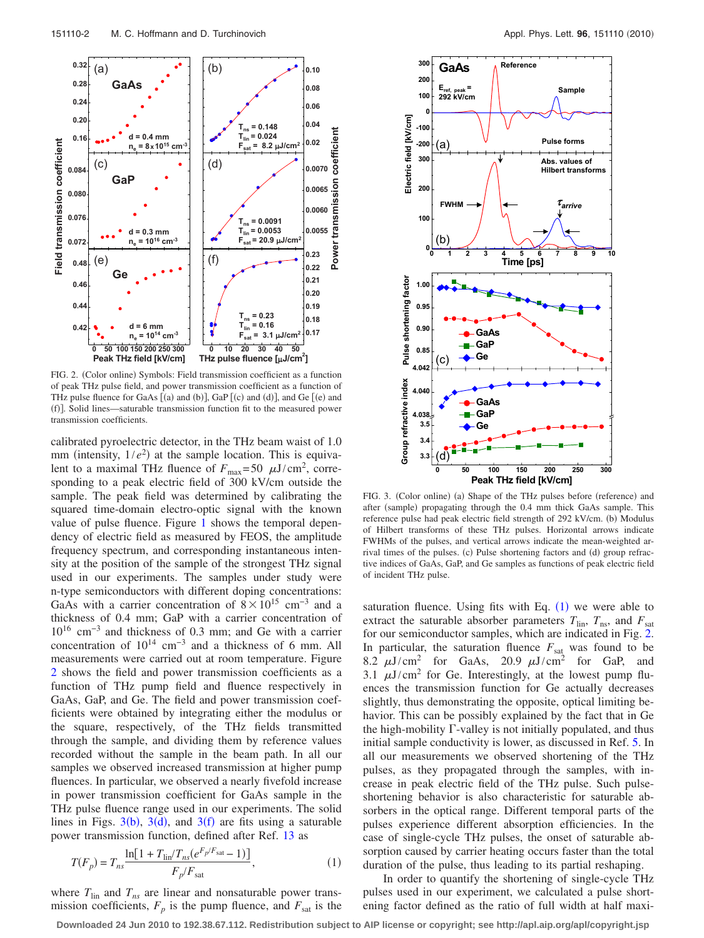<span id="page-2-0"></span>

FIG. 2. (Color online) Symbols: Field transmission coefficient as a function of peak THz pulse field, and power transmission coefficient as a function of THz pulse fluence for GaAs  $[(a)$  and  $(b)]$ , GaP  $[(c)$  and  $(d)]$ , and Ge  $[(e)$  and (f)]. Solid lines—saturable transmission function fit to the measured power transmission coefficients.

calibrated pyroelectric detector, in the THz beam waist of 1.0 mm (intensity,  $1/e^2$ ) at the sample location. This is equivalent to a maximal THz fluence of  $F_{\text{max}} = 50 \mu \text{J/cm}^2$ , corresponding to a peak electric field of 300 kV/cm outside the sample. The peak field was determined by calibrating the squared time-domain electro-optic signal with the known value of pulse fluence. Figure [1](#page-1-2) shows the temporal dependency of electric field as measured by FEOS, the amplitude frequency spectrum, and corresponding instantaneous intensity at the position of the sample of the strongest THz signal used in our experiments. The samples under study were n-type semiconductors with different doping concentrations: GaAs with a carrier concentration of  $8 \times 10^{15}$  cm<sup>-3</sup> and a thickness of 0.4 mm; GaP with a carrier concentration of 10<sup>16</sup> cm−3 and thickness of 0.3 mm; and Ge with a carrier concentration of  $10^{14}$  cm<sup>-3</sup> and a thickness of 6 mm. All measurements were carried out at room temperature. Figure [2](#page-2-0) shows the field and power transmission coefficients as a function of THz pump field and fluence respectively in GaAs, GaP, and Ge. The field and power transmission coefficients were obtained by integrating either the modulus or the square, respectively, of the THz fields transmitted through the sample, and dividing them by reference values recorded without the sample in the beam path. In all our samples we observed increased transmission at higher pump fluences. In particular, we observed a nearly fivefold increase in power transmission coefficient for GaAs sample in the THz pulse fluence range used in our experiments. The solid lines in Figs.  $3(b)$  $3(b)$ ,  $3(d)$ , and  $3(f)$  are fits using a saturable power transmission function, defined after Ref. [13](#page-3-11) as

<span id="page-2-2"></span>
$$
T(F_p) = T_{ns} \frac{\ln[1 + T_{\text{lin}}/T_{ns}(e^{F_p/F_{\text{sat}}}-1)]}{F_p/F_{\text{sat}}},\tag{1}
$$

where  $T_{lin}$  and  $T_{ns}$  are linear and nonsaturable power transmission coefficients,  $F_p$  is the pump fluence, and  $F_{\text{sat}}$  is the

<span id="page-2-1"></span>

FIG. 3. (Color online) (a) Shape of the THz pulses before (reference) and after (sample) propagating through the 0.4 mm thick GaAs sample. This reference pulse had peak electric field strength of 292 kV/cm. (b) Modulus of Hilbert transforms of these THz pulses. Horizontal arrows indicate FWHMs of the pulses, and vertical arrows indicate the mean-weighted arrival times of the pulses. (c) Pulse shortening factors and (d) group refractive indices of GaAs, GaP, and Ge samples as functions of peak electric field of incident THz pulse.

saturation fluence. Using fits with Eq.  $(1)$  $(1)$  $(1)$  we were able to extract the saturable absorber parameters  $T_{lin}$ ,  $T_{ns}$ , and  $F_{sat}$ for our semiconductor samples, which are indicated in Fig. [2.](#page-2-0) In particular, the saturation fluence  $F_{\text{sat}}$  was found to be 8.2  $\mu$ J/cm<sup>2</sup> for GaAs, 20.9  $\mu$ J/cm<sup>2</sup> for GaP, and 3.1  $\mu$ J/cm<sup>2</sup> for Ge. Interestingly, at the lowest pump fluences the transmission function for Ge actually decreases slightly, thus demonstrating the opposite, optical limiting behavior. This can be possibly explained by the fact that in Ge the high-mobility  $\Gamma$ -valley is not initially populated, and thus initial sample conductivity is lower, as discussed in Ref. [5.](#page-3-4) In all our measurements we observed shortening of the THz pulses, as they propagated through the samples, with increase in peak electric field of the THz pulse. Such pulseshortening behavior is also characteristic for saturable absorbers in the optical range. Different temporal parts of the pulses experience different absorption efficiencies. In the case of single-cycle THz pulses, the onset of saturable absorption caused by carrier heating occurs faster than the total duration of the pulse, thus leading to its partial reshaping.

In order to quantify the shortening of single-cycle THz pulses used in our experiment, we calculated a pulse shortening factor defined as the ratio of full width at half maxi-

**Downloaded 24 Jun 2010 to 192.38.67.112. Redistribution subject to AIP license or copyright; see http://apl.aip.org/apl/copyright.jsp**